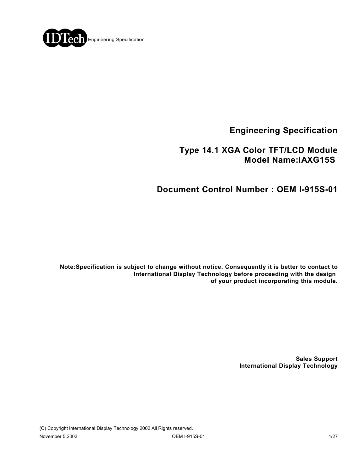

**Engineering Specification**

## **Type 14.1 XGA Color TFT/LCD Module Model Name:IAXG15S**

## **Document Control Number : OEM I-915S-01**

**Note:Specification is subject to change without notice. Consequently it is better to contact to International Display Technology before proceeding with the design of your product incorporating this module.**

> **Sales Support International Display Technology**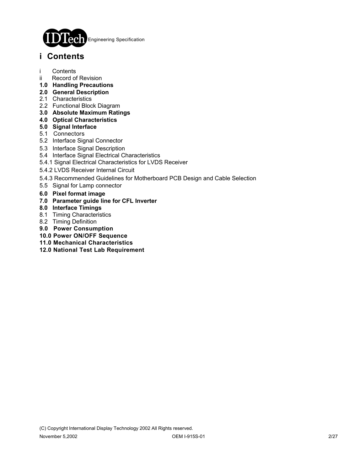

## **i Contents**

- i Contents
- ii Record of Revision
- **1.0 Handling Precautions**
- **2.0 General Description**
- 2.1 Characteristics
- 2.2 Functional Block Diagram
- **3.0 Absolute Maximum Ratings**
- **4.0 Optical Characteristics**
- **5.0 Signal Interface**
- 5.1 Connectors
- 5.2 Interface Signal Connector
- 5.3 Interface Signal Description
- 5.4 Interface Signal Electrical Characteristics
- 5.4.1 Signal Electrical Characteristics for LVDS Receiver
- 5.4.2 LVDS Receiver Internal Circuit
- 5.4.3 Recommended Guidelines for Motherboard PCB Design and Cable Selection
- 5.5 Signal for Lamp connector
- **6.0 Pixel format image**
- **7.0 Parameter guide line for CFL Inverter**
- **8.0 Interface Timings**
- 8.1 Timing Characteristics
- 8.2 Timing Definition
- **9.0 Power Consumption**
- **10.0 Power ON/OFF Sequence**
- **11.0 Mechanical Characteristics**
- **12.0 National Test Lab Requirement**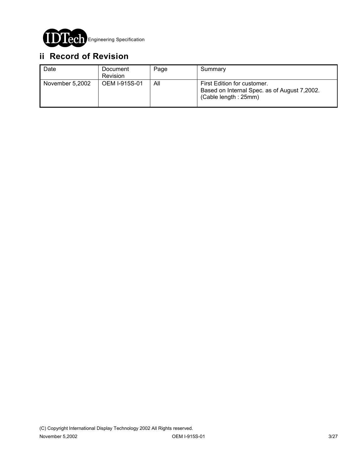

# **ii Record of Revision**

| Date            | Document<br><b>Revision</b> | Page | Summary                                                                                              |
|-----------------|-----------------------------|------|------------------------------------------------------------------------------------------------------|
| November 5,2002 | OEM I-915S-01               | All  | First Edition for customer.<br>Based on Internal Spec. as of August 7,2002.<br>(Cable length : 25mm) |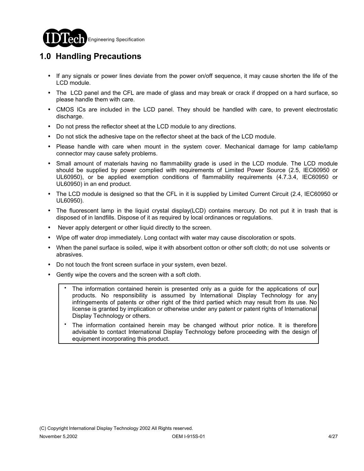

# **1.0 Handling Precautions**

- ! If any signals or power lines deviate from the power on/off sequence, it may cause shorten the life of the LCD module.
- ! The LCD panel and the CFL are made of glass and may break or crack if dropped on a hard surface, so please handle them with care.
- CMOS ICs are included in the LCD panel. They should be handled with care, to prevent electrostatic discharge.
- ! Do not press the reflector sheet at the LCD module to any directions.
- ! Do not stick the adhesive tape on the reflector sheet at the back of the LCD module.
- ! Please handle with care when mount in the system cover. Mechanical damage for lamp cable/lamp connector may cause safety problems.
- Small amount of materials having no flammability grade is used in the LCD module. The LCD module should be supplied by power complied with requirements of Limited Power Source (2.5, IEC60950 or UL60950), or be applied exemption conditions of flammability requirements (4.7.3.4, IEC60950 or UL60950) in an end product.
- ! The LCD module is designed so that the CFL in it is supplied by Limited Current Circuit (2.4, IEC60950 or UL60950).
- ! The fluorescent lamp in the liquid crystal display(LCD) contains mercury. Do not put it in trash that is disposed of in landfills. Dispose of it as required by local ordinances or regulations.
- Never apply detergent or other liquid directly to the screen.
- ! Wipe off water drop immediately. Long contact with water may cause discoloration or spots.
- ! When the panel surface is soiled, wipe it with absorbent cotton or other soft cloth; do not use solvents or abrasives.
- ! Do not touch the front screen surface in your system, even bezel.
- Gently wipe the covers and the screen with a soft cloth.
	- The information contained herein is presented only as a guide for the applications of our products. No responsibility is assumed by International Display Technology for any infringements of patents or other right of the third partied which may result from its use. No license is granted by implication or otherwise under any patent or patent rights of International Display Technology or others. .
	- The information contained herein may be changed without prior notice. It is therefore advisable to contact International Display Technology before proceeding with the design of equipment incorporating this product. .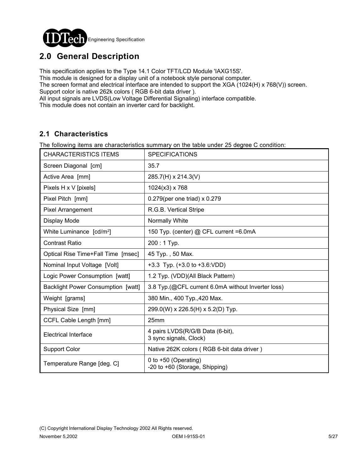

# **2.0 General Description**

This specification applies to the Type 14.1 Color TFT/LCD Module 'IAXG15S'.

This module is designed for a display unit of a notebook style personal computer.

The screen format and electrical interface are intended to support the XGA (1024(H) x 768(V)) screen. Support color is native 262k colors ( RGB 6-bit data driver ).

All input signals are LVDS(Low Voltage Differential Signaling) interface compatible.

This module does not contain an inverter card for backlight.

### **2.1 Characteristics**

The following items are characteristics summary on the table under 25 degree C condition:

| <b>CHARACTERISTICS ITEMS</b>              | <b>SPECIFICATIONS</b>                                      |
|-------------------------------------------|------------------------------------------------------------|
| Screen Diagonal [cm]                      | 35.7                                                       |
| Active Area [mm]                          | 285.7(H) x 214.3(V)                                        |
| Pixels H x V [pixels]                     | $1024(x3)$ x 768                                           |
| Pixel Pitch [mm]                          | 0.279(per one triad) x 0.279                               |
| <b>Pixel Arrangement</b>                  | R.G.B. Vertical Stripe                                     |
| Display Mode                              | Normally White                                             |
| White Luminance [cd/m <sup>2</sup> ]      | 150 Typ. (center) @ CFL current =6.0mA                     |
| <b>Contrast Ratio</b>                     | 200:1 Typ.                                                 |
| Optical Rise Time+Fall Time [msec]        | 45 Typ., 50 Max.                                           |
| Nominal Input Voltage [Volt]              | $+3.3$ Typ. $(+3.0$ to $+3.6$ : VDD)                       |
| Logic Power Consumption [watt]            | 1.2 Typ. (VDD)(All Black Pattern)                          |
| <b>Backlight Power Consumption [watt]</b> | 3.8 Typ.(@CFL current 6.0mA without Inverter loss)         |
| Weight [grams]                            | 380 Min., 400 Typ., 420 Max.                               |
| Physical Size [mm]                        | 299.0(W) x 226.5(H) x 5.2(D) Typ.                          |
| CCFL Cable Length [mm]                    | 25mm                                                       |
| <b>Electrical Interface</b>               | 4 pairs LVDS(R/G/B Data (6-bit),<br>3 sync signals, Clock) |
| <b>Support Color</b>                      | Native 262K colors (RGB 6-bit data driver)                 |
| Temperature Range [deg. C]                | 0 to +50 (Operating)<br>-20 to +60 (Storage, Shipping)     |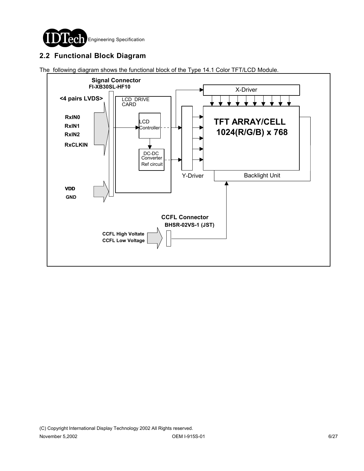

## **2.2 Functional Block Diagram**

The following diagram shows the functional block of the Type 14.1 Color TFT/LCD Module.

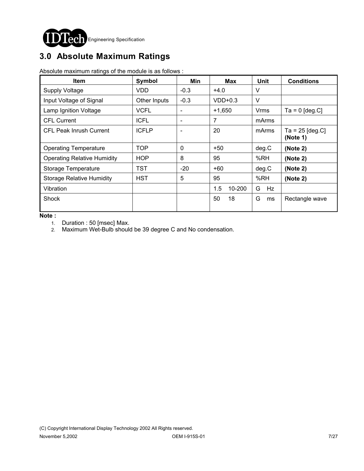

# **3.0 Absolute Maximum Ratings**

Absolute maximum ratings of the module is as follows :

| <b>Item</b>                        | Symbol       | Min                      | Max           | Unit    | <b>Conditions</b>             |
|------------------------------------|--------------|--------------------------|---------------|---------|-------------------------------|
| <b>Supply Voltage</b>              | <b>VDD</b>   | $-0.3$                   | $+4.0$        | V       |                               |
| Input Voltage of Signal            | Other Inputs | $-0.3$                   | $VDD+0.3$     | V       |                               |
| Lamp Ignition Voltage              | <b>VCFL</b>  |                          | $+1,650$      | Vrms    | $Ta = 0$ [deg.C]              |
| <b>CFL Current</b>                 | <b>ICFL</b>  | $\overline{\phantom{0}}$ | 7             | mArms   |                               |
| <b>CFL Peak Inrush Current</b>     | <b>ICFLP</b> | $\overline{\phantom{0}}$ | 20            | mArms   | Ta = $25$ [deg.C]<br>(Note 1) |
| <b>Operating Temperature</b>       | <b>TOP</b>   | $\mathbf{0}$             | $+50$         | deg.C   | (Note 2)                      |
| <b>Operating Relative Humidity</b> | <b>HOP</b>   | 8                        | 95            | %RH     | (Note 2)                      |
| Storage Temperature                | <b>TST</b>   | $-20$                    | $+60$         | deg.C   | (Note 2)                      |
| <b>Storage Relative Humidity</b>   | <b>HST</b>   | 5                        | 95            | %RH     | (Note 2)                      |
| Vibration                          |              |                          | 10-200<br>1.5 | Hz<br>G |                               |
| Shock                              |              |                          | 18<br>50      | G<br>ms | Rectangle wave                |

**Note :** 

1. Duration : 50 [msec] Max.

2. Maximum Wet-Bulb should be 39 degree C and No condensation.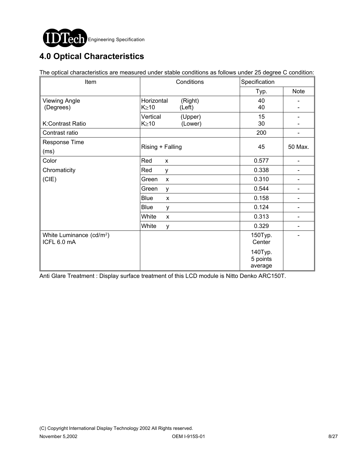

# **4.0 Optical Characteristics**

The optical characteristics are measured under stable conditions as follows under 25 degree C condition:

| Item                                 | Conditions                  | Specification |                              |  |
|--------------------------------------|-----------------------------|---------------|------------------------------|--|
|                                      |                             | Typ.          | <b>Note</b>                  |  |
| <b>Viewing Angle</b>                 | Horizontal<br>(Right)       | 40            |                              |  |
| (Degrees)                            | $K \geq 10$<br>(Left)       | 40            |                              |  |
|                                      | Vertical<br>(Upper)         | 15            |                              |  |
| K:Contrast Ratio                     | $K \geq 10$<br>(Lower)      | 30            |                              |  |
| Contrast ratio                       |                             | 200           |                              |  |
| Response Time                        |                             | 45            | 50 Max.                      |  |
| (ms)                                 | Rising + Falling            |               |                              |  |
| Color                                | Red<br>X                    | 0.577         | $\qquad \qquad \blacksquare$ |  |
| Chromaticity                         | Red<br>У                    | 0.338         |                              |  |
| (CIE)                                | Green<br>X                  | 0.310         |                              |  |
|                                      | Green<br>y                  | 0.544         |                              |  |
|                                      | <b>Blue</b><br>$\mathsf{x}$ | 0.158         |                              |  |
|                                      | <b>Blue</b><br>y            | 0.124         | $\qquad \qquad \blacksquare$ |  |
|                                      | White<br>X                  | 0.313         | $\qquad \qquad \blacksquare$ |  |
|                                      | White<br>y                  | 0.329         |                              |  |
| White Luminance (cd/m <sup>2</sup> ) |                             | 150Typ.       |                              |  |
| ICFL 6.0 mA                          |                             | Center        |                              |  |
|                                      |                             | 140Typ.       |                              |  |
|                                      |                             | 5 points      |                              |  |
|                                      |                             | average       |                              |  |

Anti Glare Treatment : Display surface treatment of this LCD module is Nitto Denko ARC150T.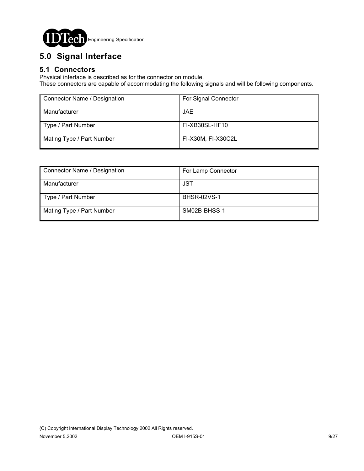

# **5.0 Signal Interface**

### **5.1 Connectors**

Physical interface is described as for the connector on module.

These connectors are capable of accommodating the following signals and will be following components.

| Connector Name / Designation | For Signal Connector |  |  |
|------------------------------|----------------------|--|--|
| Manufacturer                 | JAE.                 |  |  |
| Type / Part Number           | FI-XB30SL-HF10       |  |  |
| Mating Type / Part Number    | FI-X30M, FI-X30C2L   |  |  |

| Connector Name / Designation | For Lamp Connector |
|------------------------------|--------------------|
| Manufacturer                 | JST                |
| Type / Part Number           | <b>BHSR-02VS-1</b> |
| Mating Type / Part Number    | SM02B-BHSS-1       |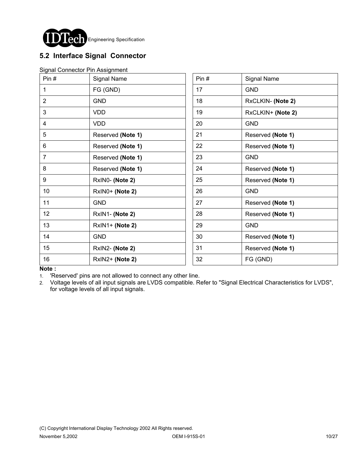

## **5.2 Interface Signal Connector**

|  | Signal Connector Pin Assignment |
|--|---------------------------------|
|  |                                 |

| Pin#           | Signal Name       | Pin# | Signal Name       |
|----------------|-------------------|------|-------------------|
| 1              | FG (GND)          | 17   | <b>GND</b>        |
| $\overline{2}$ | <b>GND</b>        | 18   | RxCLKIN- (Note 2) |
| 3              | <b>VDD</b>        | 19   | RxCLKIN+ (Note 2) |
| 4              | VDD               | 20   | <b>GND</b>        |
| 5              | Reserved (Note 1) | 21   | Reserved (Note 1) |
| 6              | Reserved (Note 1) | 22   | Reserved (Note 1) |
| $\overline{7}$ | Reserved (Note 1) | 23   | <b>GND</b>        |
| 8              | Reserved (Note 1) | 24   | Reserved (Note 1) |
| 9              | RxINO- (Note 2)   | 25   | Reserved (Note 1) |
| 10             | RxIN0+ (Note 2)   | 26   | <b>GND</b>        |
| 11             | <b>GND</b>        | 27   | Reserved (Note 1) |
| 12             | RxIN1- (Note 2)   | 28   | Reserved (Note 1) |
| 13             | RxIN1+ (Note 2)   | 29   | <b>GND</b>        |
| 14             | <b>GND</b>        | 30   | Reserved (Note 1) |
| 15             | RxIN2- (Note 2)   | 31   | Reserved (Note 1) |
| 16             | RxIN2+ (Note 2)   | 32   | FG (GND)          |

**Note :**

1. 'Reserved' pins are not allowed to connect any other line.

2. Voltage levels of all input signals are LVDS compatible. Refer to "Signal Electrical Characteristics for LVDS", for voltage levels of all input signals.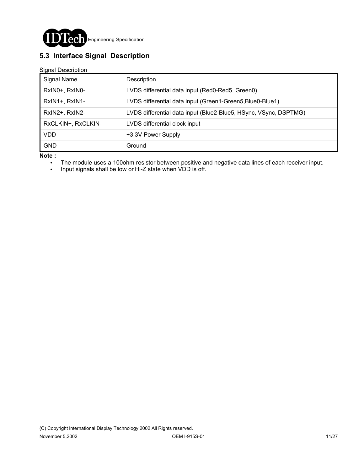

## **5.3 Interface Signal Description**

Signal Description

| Signal Name        | Description                                                      |
|--------------------|------------------------------------------------------------------|
| RxIN0+, RxIN0-     | LVDS differential data input (Red0-Red5, Green0)                 |
| RxIN1+, RxIN1-     | LVDS differential data input (Green1-Green5, Blue0-Blue1)        |
| RxIN2+, RxIN2-     | LVDS differential data input (Blue2-Blue5, HSync, VSync, DSPTMG) |
| RxCLKIN+, RxCLKIN- | LVDS differential clock input                                    |
| VDD                | +3.3V Power Supply                                               |
| <b>GND</b>         | Ground                                                           |

**Note :**

- . The module uses a 100ohm resistor between positive and negative data lines of each receiver input.
- ! Input signals shall be low or Hi-Z state when VDD is off.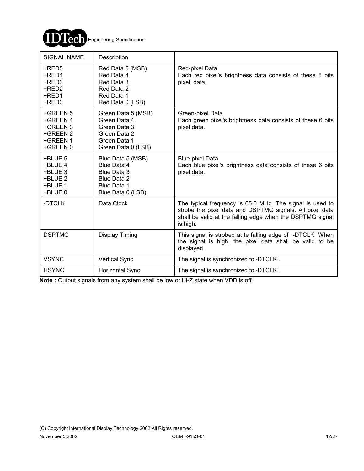

| <b>SIGNAL NAME</b>                                                   | Description                                                                                              |                                                                                                                                                                                               |
|----------------------------------------------------------------------|----------------------------------------------------------------------------------------------------------|-----------------------------------------------------------------------------------------------------------------------------------------------------------------------------------------------|
| +RED5<br>+RED4<br>+RED3<br>+RED2<br>+RED1<br>+RED0                   | Red Data 5 (MSB)<br>Red Data 4<br>Red Data 3<br>Red Data 2<br>Red Data 1<br>Red Data 0 (LSB)             | Red-pixel Data<br>Each red pixel's brightness data consists of these 6 bits<br>pixel data.                                                                                                    |
| +GREEN 5<br>+GREEN 4<br>+GREEN 3<br>+GREEN 2<br>+GREEN 1<br>+GREEN 0 | Green Data 5 (MSB)<br>Green Data 4<br>Green Data 3<br>Green Data 2<br>Green Data 1<br>Green Data 0 (LSB) | Green-pixel Data<br>Each green pixel's brightness data consists of these 6 bits<br>pixel data.                                                                                                |
| +BLUE 5<br>+BLUE 4<br>+BLUE 3<br>+BLUE 2<br>+BLUE 1<br>+BLUE 0       | Blue Data 5 (MSB)<br>Blue Data 4<br>Blue Data 3<br>Blue Data 2<br>Blue Data 1<br>Blue Data 0 (LSB)       | <b>Blue-pixel Data</b><br>Each blue pixel's brightness data consists of these 6 bits<br>pixel data.                                                                                           |
| -DTCLK                                                               | Data Clock                                                                                               | The typical frequency is 65.0 MHz. The signal is used to<br>strobe the pixel data and DSPTMG signals. All pixel data<br>shall be valid at the falling edge when the DSPTMG signal<br>is high. |
| <b>DSPTMG</b>                                                        | Display Timing                                                                                           | This signal is strobed at te falling edge of -DTCLK. When<br>the signal is high, the pixel data shall be valid to be<br>displayed.                                                            |
| <b>VSYNC</b>                                                         | <b>Vertical Sync</b>                                                                                     | The signal is synchronized to -DTCLK.                                                                                                                                                         |
| <b>HSYNC</b>                                                         | <b>Horizontal Sync</b>                                                                                   | The signal is synchronized to -DTCLK.                                                                                                                                                         |

**Note :** Output signals from any system shall be low or Hi-Z state when VDD is off.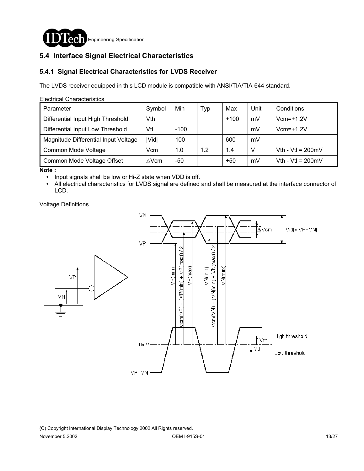

## **5.4 Interface Signal Electrical Characteristics**

#### **5.4.1 Signal Electrical Characteristics for LVDS Receiver**

The LVDS receiver equipped in this LCD module is compatible with ANSI/TIA/TIA-644 standard.

#### Electrical Characteristics

| Parameter                            | Symbol          | Min    | Тур | Max    | Unit | Conditions                  |
|--------------------------------------|-----------------|--------|-----|--------|------|-----------------------------|
| Differential Input High Threshold    | Vth             |        |     | $+100$ | mV   | $Vcm=+1.2V$                 |
| Differential Input Low Threshold     | Vtl             | $-100$ |     |        | mV   | $Vcm=+1.2V$                 |
| Magnitude Differential Input Voltage | Vid             | 100    |     | 600    | mV   |                             |
| Common Mode Voltage                  | Vcm             | 1.0    | 1.2 | 1.4    | V    | Vth - Vtl = $200 \text{mV}$ |
| Common Mode Voltage Offset           | $\triangle$ Vcm | -50    |     | $+50$  | mV   | Vth - Vtl = $200 \text{mV}$ |

**Note :**

- ! Input signals shall be low or Hi-Z state when VDD is off.
- ! All electrical characteristics for LVDS signal are defined and shall be measured at the interface connector of LCD.

Voltage Definitions

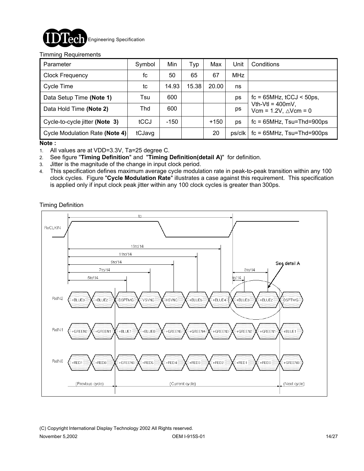

#### Timming Requirements

| Parameter                      | Symbol | Min    | Typ   | Max    | Unit       | Conditions                                                 |
|--------------------------------|--------|--------|-------|--------|------------|------------------------------------------------------------|
| <b>Clock Frequency</b>         | fc     | 50     | 65    | 67     | <b>MHz</b> |                                                            |
| Cycle Time                     | tc     | 14.93  | 15.38 | 20.00  | ns         |                                                            |
| Data Setup Time (Note 1)       | Tsu    | 600    |       |        | ps         | $fc = 65 MHz$ , $tCCJ < 50 ps$ ,                           |
| Data Hold Time (Note 2)        | Thd    | 600    |       |        | ps         | Vth-Vtl = $400mV$ ,<br>Vcm = $1.2V$ , $\triangle V$ cm = 0 |
| Cycle-to-cycle jitter (Note 3) | tCCJ   | $-150$ |       | $+150$ | ps         | $fc = 65 MHz$ , $Tsu = Thd = 900 ps$                       |
| Cycle Modulation Rate (Note 4) | tCJavg |        |       | 20     | ps/clk     | $fc = 65 MHz$ , Tsu=Thd=900ps                              |

**Note :**

1. All values are at VDD=3.3V, Ta=25 degree C.

2. See figure "**Timing Definition**" and "**Timing Definition(detail A)**" for definition.

- 3. Jitter is the magnitude of the change in input clock period.
- 4. This specification defines maximum average cycle modulation rate in peak-to-peak transition within any 100 clock cycles. Figure "**Cycle Modulation Rate**" illustrates a case against this requirement. This specification is applied only if input clock peak jitter within any 100 clock cycles is greater than 300ps.

Timing Definition



(C) Copyright International Display Technology 2002 All Rights reserved. November 5,2002 **OEM I-915S-01** OEM I-915S-01 **14/27**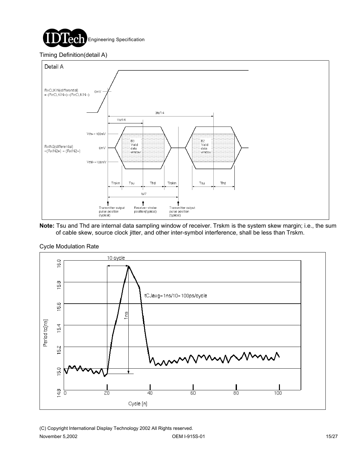

#### Timing Definition(detail A)



**Note:** Tsu and Thd are internal data sampling window of receiver. Trskm is the system skew margin; i.e., the sum of cable skew, source clock jitter, and other inter-symbol interference, shall be less than Trskm.



#### Cycle Modulation Rate

(C) Copyright International Display Technology 2002 All Rights reserved. November 5,2002 **OEM I-915S-01** 15/27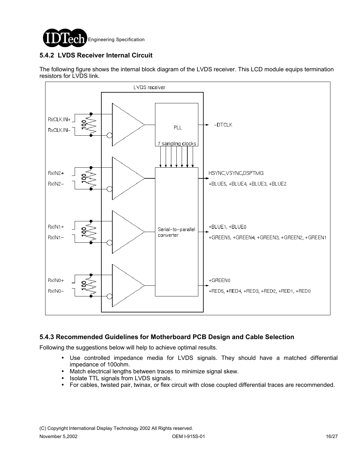

### **5.4.2 LVDS Receiver Internal Circuit**

The following figure shows the internal block diagram of the LVDS receiver. This LCD module equips termination resistors for LVDS link.



### **5.4.3 Recommended Guidelines for Motherboard PCB Design and Cable Selection**

Following the suggestions below will help to achieve optimal results.

- ! Use controlled impedance media for LVDS signals. They should have a matched differential impedance of 100ohm.
- ! Match electrical lengths between traces to minimize signal skew.
- Isolate TTL signals from LVDS signals.
- ! For cables, twisted pair, twinax, or flex circuit with close coupled differential traces are recommended.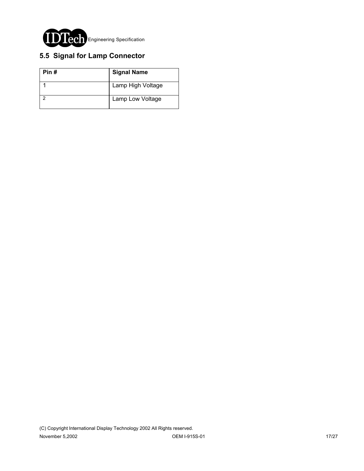

## **5.5 Signal for Lamp Connector**

| Pin# | <b>Signal Name</b> |  |  |  |
|------|--------------------|--|--|--|
|      | Lamp High Voltage  |  |  |  |
|      | Lamp Low Voltage   |  |  |  |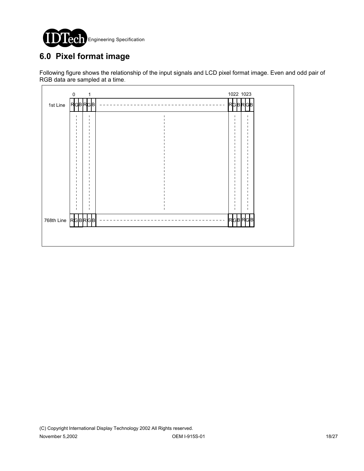

# **6.0 Pixel format image**

Following figure shows the relationship of the input signals and LCD pixel format image. Even and odd pair of RGB data are sampled at a time.

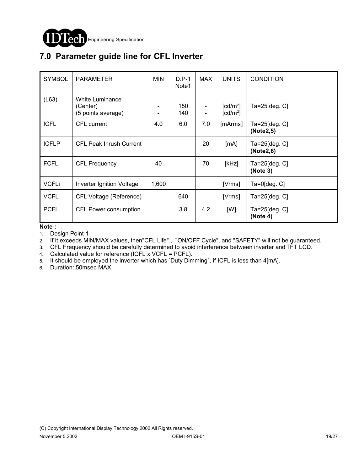

# **7.0 Parameter guide line for CFL Inverter**

| <b>SYMBOL</b> | <b>PARAMETER</b>                                  | <b>MIN</b> | $D.P-1$<br>Note1 | <b>MAX</b>     | <b>UNITS</b>                                 | <b>CONDITION</b>                   |
|---------------|---------------------------------------------------|------------|------------------|----------------|----------------------------------------------|------------------------------------|
| (L63)         | White Luminance<br>(Center)<br>(5 points average) |            | 150<br>140       | $\blacksquare$ | $\lceil cd/m^2 \rceil$<br>$\textsf{[cd/m²]}$ | Ta=25[deg. C]                      |
| <b>ICFL</b>   | CFL current                                       | 4.0        | 6.0              | 7.0            | [ <i>m</i> Arms]                             | $Ta = 25$ [deg. $C$ ]<br>(Note2,5) |
| <b>ICFLP</b>  | <b>CFL Peak Inrush Current</b>                    |            |                  | 20             | [mA]                                         | $Ta = 25$ [deg. $C$ ]<br>(Note2,6) |
| <b>FCFL</b>   | <b>CFL Frequency</b>                              | 40         |                  | 70             | [kHz]                                        | $Ta = 25$ [deg. $C$ ]<br>(Note 3)  |
| <b>VCFLi</b>  | <b>Inverter Ignition Voltage</b>                  | 1,600      |                  |                | [Vrms]                                       | $Ta=0$ [deg. $C$ ]                 |
| <b>VCFL</b>   | <b>CFL Voltage (Reference)</b>                    |            | 640              |                | [Vrms]                                       | Ta=25[deg. C]                      |
| <b>PCFL</b>   | CFL Power consumption                             |            | 3.8              | 4.2            | [W]                                          | Ta=25[deg. C]<br>(Note 4)          |

**Note :**

1. Design Point-1

2. If it exceeds MIN/MAX values, then"CFL Life" , "ON/OFF Cycle", and "SAFETY" will not be guaranteed.

3. CFL Frequency should be carefully determined to avoid interference between inverter and TFT LCD.

4. Calculated value for reference (ICFL x VCFL = PCFL).

5. It should be employed the inverter which has `Duty Dimming`, if ICFL is less than 4[mA].

6. Duration: 50msec MAX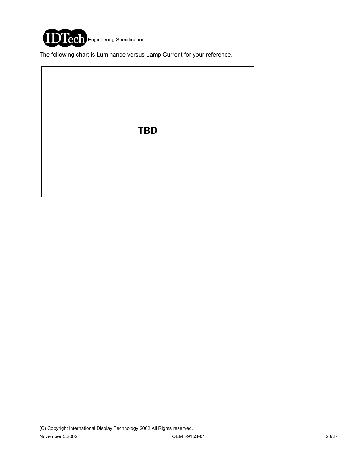

The following chart is Luminance versus Lamp Current for your reference.

**TBD**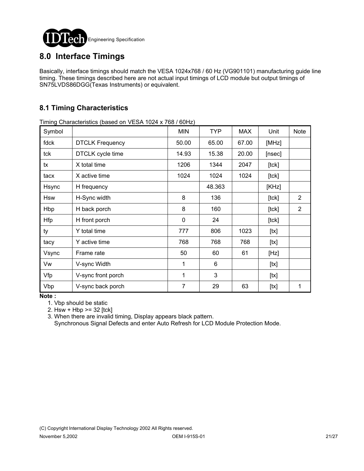

## **8.0 Interface Timings**

Basically, interface timings should match the VESA 1024x768 / 60 Hz (VG901101) manufacturing guide line timing. These timings described here are not actual input timings of LCD module but output timings of SN75LVDS86DGG(Texas Instruments) or equivalent.

## **8.1 Timing Characteristics**

Timing Characteristics (based on VESA 1024 x 768 / 60Hz)

| Symbol |                        | <b>MIN</b>   | <b>TYP</b> | <b>MAX</b> | Unit        | <b>Note</b>    |
|--------|------------------------|--------------|------------|------------|-------------|----------------|
| fdck   | <b>DTCLK Frequency</b> | 50.00        | 65.00      | 67.00      | [MHz]       |                |
| tck    | DTCLK cycle time       | 14.93        | 15.38      | 20.00      | [nsec]      |                |
| tx     | X total time           | 1206         | 1344       | 2047       | [tck]       |                |
| tacx   | X active time          | 1024         | 1024       | 1024       | $[$ tck $]$ |                |
| Hsync  | H frequency            |              | 48.363     |            | [KHz]       |                |
| Hsw    | H-Sync width           | 8            | 136        |            | $[$ tck $]$ | $\overline{2}$ |
| Hbp    | H back porch           | 8            | 160        |            | $[$ tck $]$ | $\overline{2}$ |
| Hfp    | H front porch          | $\mathbf{0}$ | 24         |            | $[$ tck $]$ |                |
| ty     | Y total time           | 777          | 806        | 1023       | [tx]        |                |
| tacy   | Y active time          | 768          | 768        | 768        | [tx]        |                |
| Vsync  | Frame rate             | 50           | 60         | 61         | [Hz]        |                |
| Vw     | V-sync Width           | 1            | 6          |            | [tx]        |                |
| Vfp    | V-sync front porch     | 1            | 3          |            | [tx]        |                |
| Vbp    | V-sync back porch      | 7            | 29         | 63         | [tx]        | 1              |

**Note :**

1. Vbp should be static

2. Hsw + Hbp >= 32 [tck]

 3. When there are invalid timing, Display appears black pattern. Synchronous Signal Defects and enter Auto Refresh for LCD Module Protection Mode.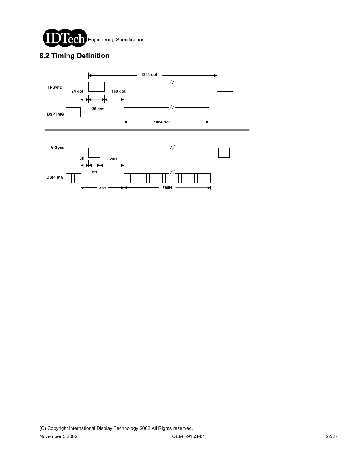

## **8.2 Timing Definition**

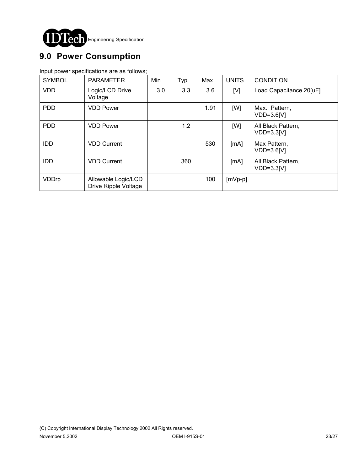

# **9.0 Power Consumption**

Input power specifications are as follows;

| <b>SYMBOL</b> | <b>PARAMETER</b>                            | Min | Typ | Max  | <b>UNITS</b> | <b>CONDITION</b>                   |
|---------------|---------------------------------------------|-----|-----|------|--------------|------------------------------------|
| <b>VDD</b>    | Logic/LCD Drive<br>Voltage                  | 3.0 | 3.3 | 3.6  | [V]          | Load Capacitance 20[uF]            |
| <b>PDD</b>    | <b>VDD Power</b>                            |     |     | 1.91 | [W]          | Max. Pattern,<br>$VDD=3.6[V]$      |
| <b>PDD</b>    | <b>VDD Power</b>                            |     | 1.2 |      | [W]          | All Black Pattern,<br>$VDD=3.3[V]$ |
| <b>IDD</b>    | <b>VDD Current</b>                          |     |     | 530  | [mA]         | Max Pattern,<br>$VDD=3.6[V]$       |
| <b>IDD</b>    | <b>VDD Current</b>                          |     | 360 |      | [mA]         | All Black Pattern,<br>$VDD=3.3[V]$ |
| VDDrp         | Allowable Logic/LCD<br>Drive Ripple Voltage |     |     | 100  | $[mVp-p]$    |                                    |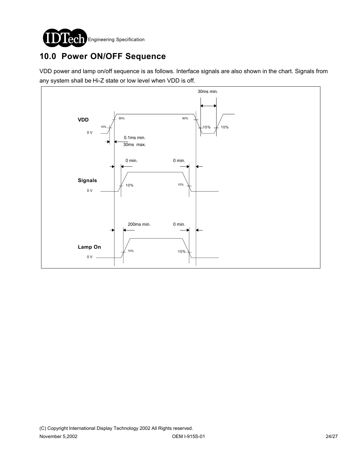

# **10.0 Power ON/OFF Sequence**

VDD power and lamp on/off sequence is as follows. Interface signals are also shown in the chart. Signals from any system shall be Hi-Z state or low level when VDD is off.

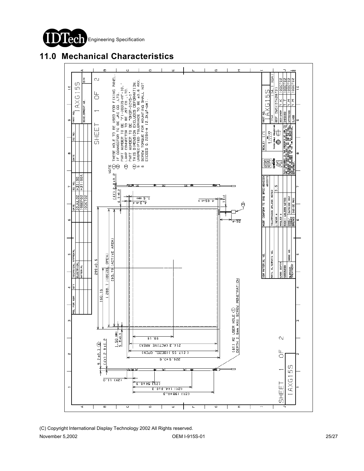

## **11.0 Mechanical Characteristics**

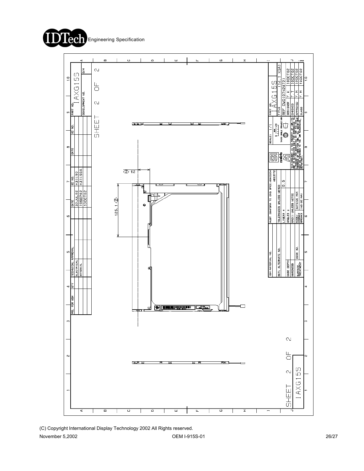



(C) Copyright International Display Technology 2002 All Rights reserved.